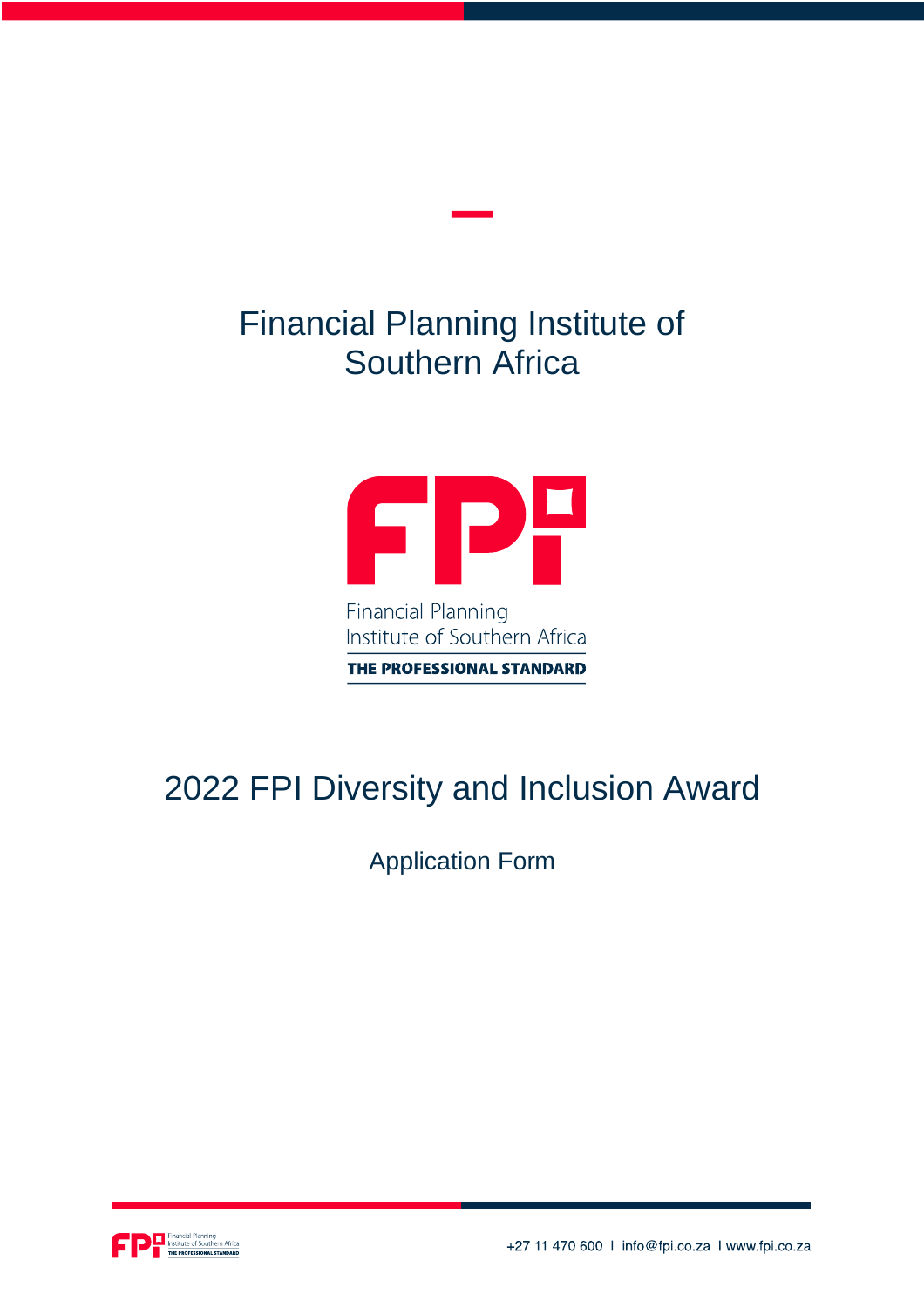## Financial Planning Institute of Southern Africa



THE PROFESSIONAL STANDARD

## 2022 FPI Diversity and Inclusion Award

Application Form



+27 11 470 600 | info@fpi.co.za | www.fpi.co.za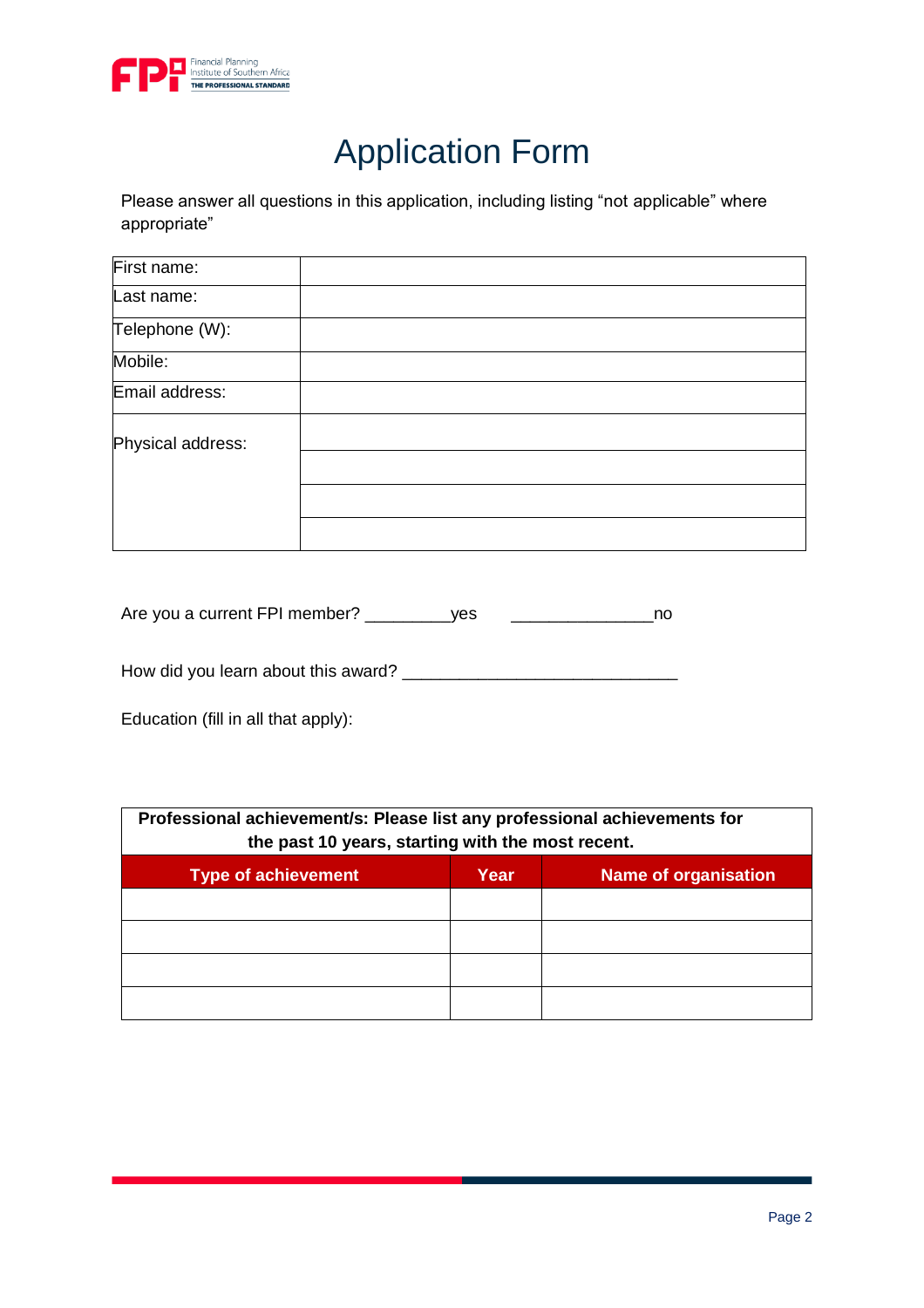

## Application Form

Please answer all questions in this application, including listing "not applicable" where appropriate"

| First name:       |  |
|-------------------|--|
| Last name:        |  |
| Telephone (W):    |  |
| Mobile:           |  |
| Email address:    |  |
| Physical address: |  |
|                   |  |
|                   |  |

| Are you a current FPI member? | ves |  |
|-------------------------------|-----|--|
|                               |     |  |

How did you learn about this award? \_\_\_\_\_\_\_\_\_\_\_\_\_\_\_\_\_\_\_\_\_\_\_\_\_\_\_\_\_

Education (fill in all that apply):

| Professional achievement/s: Please list any professional achievements for<br>the past 10 years, starting with the most recent. |      |                             |  |  |
|--------------------------------------------------------------------------------------------------------------------------------|------|-----------------------------|--|--|
| <b>Type of achievement</b>                                                                                                     | Year | <b>Name of organisation</b> |  |  |
|                                                                                                                                |      |                             |  |  |
|                                                                                                                                |      |                             |  |  |
|                                                                                                                                |      |                             |  |  |
|                                                                                                                                |      |                             |  |  |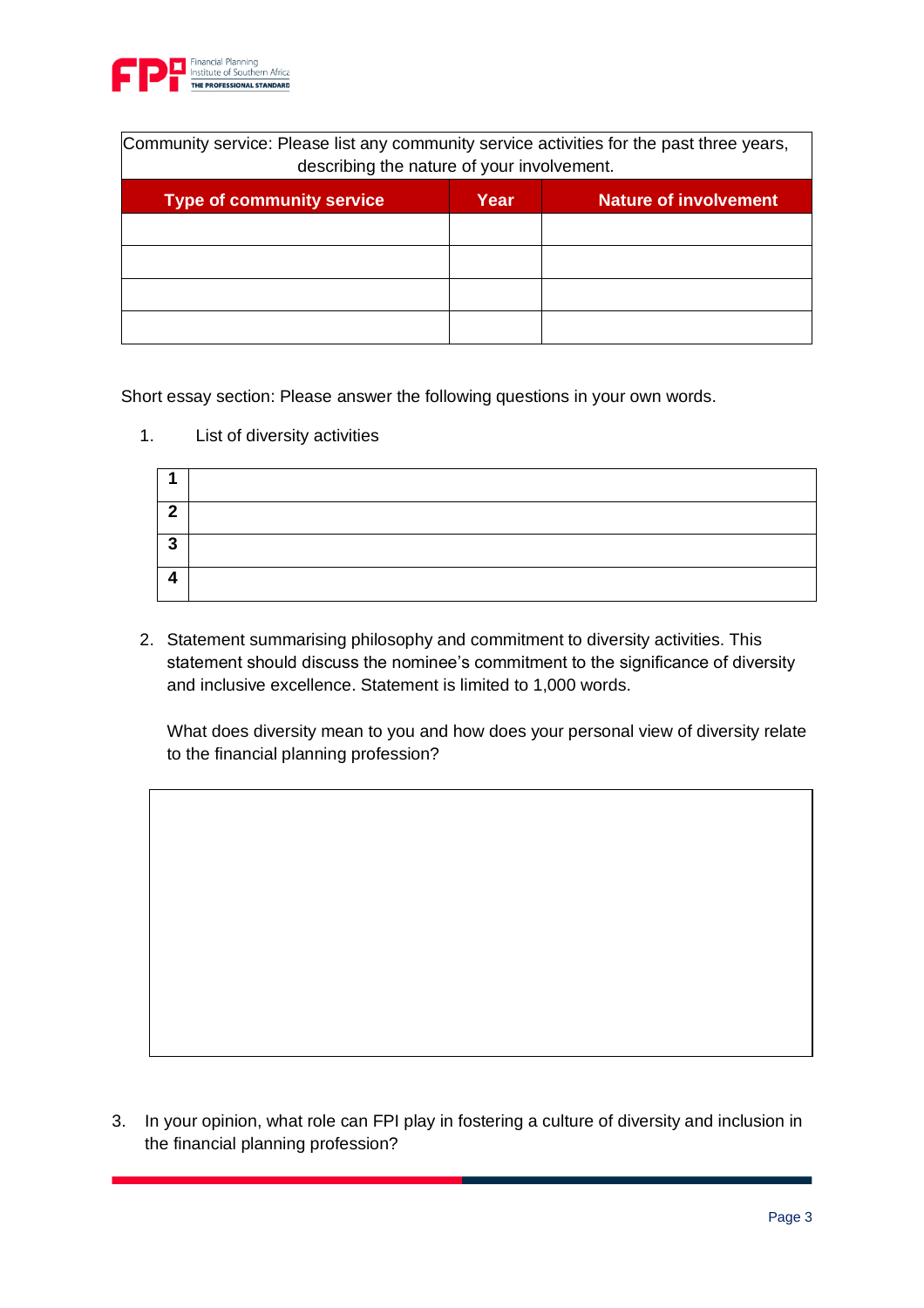

| Community service: Please list any community service activities for the past three years,<br>describing the nature of your involvement. |      |                              |  |  |
|-----------------------------------------------------------------------------------------------------------------------------------------|------|------------------------------|--|--|
| <b>Type of community service</b>                                                                                                        | Year | <b>Nature of involvement</b> |  |  |
|                                                                                                                                         |      |                              |  |  |
|                                                                                                                                         |      |                              |  |  |
|                                                                                                                                         |      |                              |  |  |
|                                                                                                                                         |      |                              |  |  |

Short essay section: Please answer the following questions in your own words.

1. List of diversity activities

| ົ      |  |
|--------|--|
| າ<br>J |  |
|        |  |

2. Statement summarising philosophy and commitment to diversity activities. This statement should discuss the nominee's commitment to the significance of diversity and inclusive excellence. Statement is limited to 1,000 words.

What does diversity mean to you and how does your personal view of diversity relate to the financial planning profession?

3. In your opinion, what role can FPI play in fostering a culture of diversity and inclusion in the financial planning profession?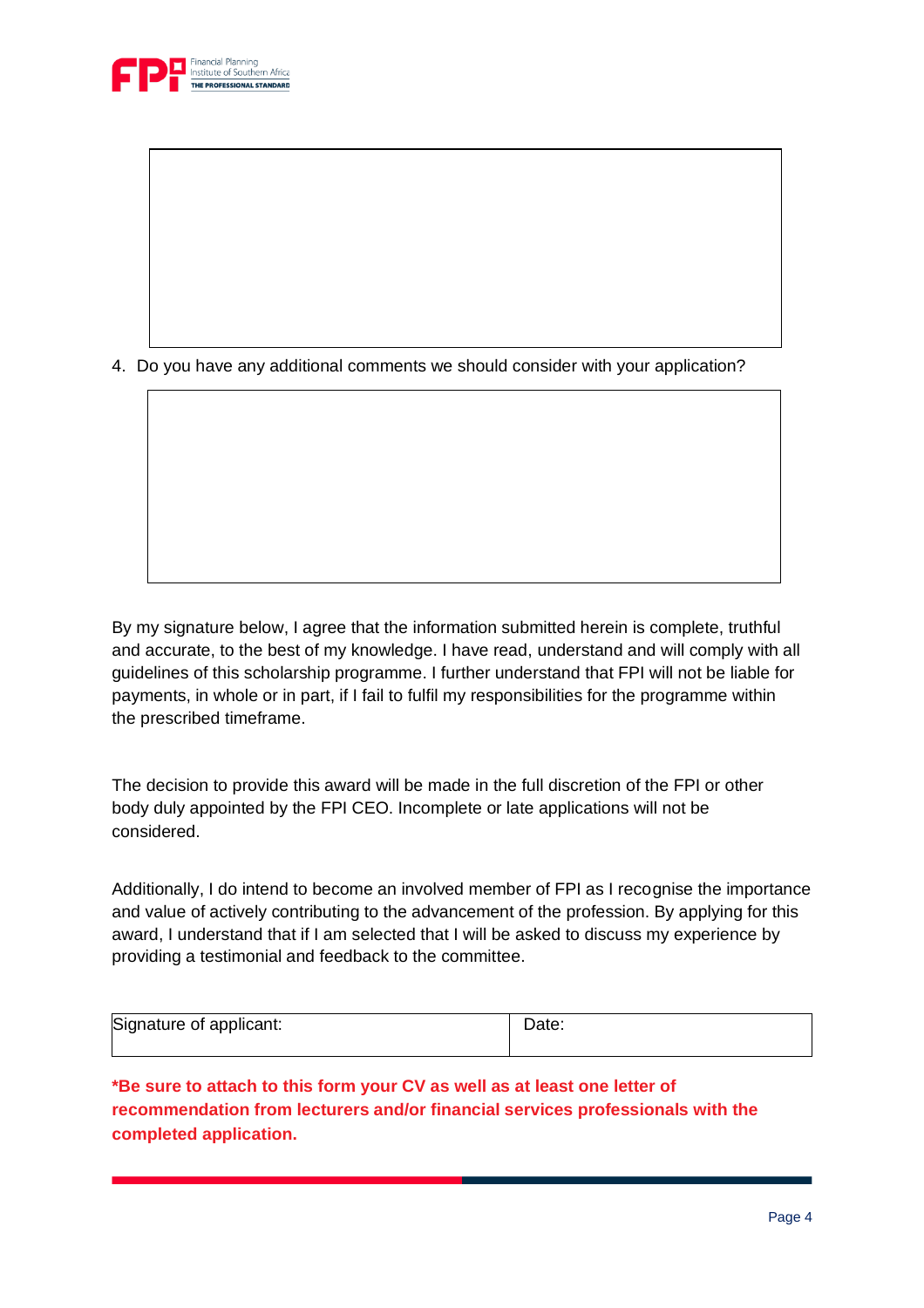

4. Do you have any additional comments we should consider with your application?

By my signature below, I agree that the information submitted herein is complete, truthful and accurate, to the best of my knowledge. I have read, understand and will comply with all guidelines of this scholarship programme. I further understand that FPI will not be liable for payments, in whole or in part, if I fail to fulfil my responsibilities for the programme within the prescribed timeframe.

The decision to provide this award will be made in the full discretion of the FPI or other body duly appointed by the FPI CEO. Incomplete or late applications will not be considered.

Additionally, I do intend to become an involved member of FPI as I recognise the importance and value of actively contributing to the advancement of the profession. By applying for this award, I understand that if I am selected that I will be asked to discuss my experience by providing a testimonial and feedback to the committee.

| Signature of applicant: | Date: |
|-------------------------|-------|
|                         |       |

**\*Be sure to attach to this form your CV as well as at least one letter of recommendation from lecturers and/or financial services professionals with the completed application.**